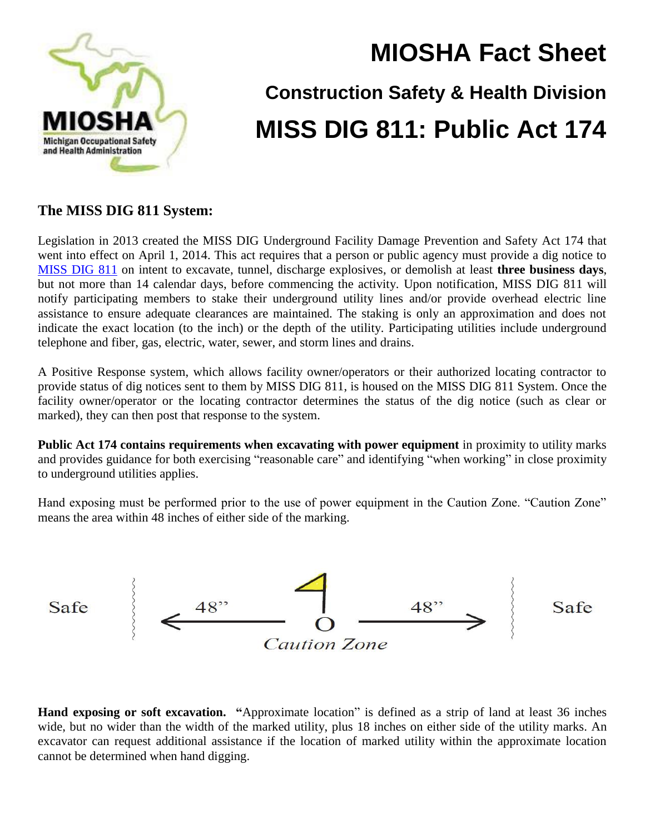

## **MIOSHA Fact Sheet**

## **Construction Safety & Health Division MISS DIG 811: Public Act 174**

## **The MISS DIG 811 System:**

Legislation in 2013 created the MISS DIG Underground Facility Damage Prevention and Safety Act 174 that went into effect on April 1, 2014. This act requires that a person or public agency must provide a dig notice to [MISS DIG](http://www.missdig811.org/) 811 on intent to excavate, tunnel, discharge explosives, or demolish at least **three business days**, but not more than 14 calendar days, before commencing the activity. Upon notification, MISS DIG 811 will notify participating members to stake their underground utility lines and/or provide overhead electric line assistance to ensure adequate clearances are maintained. The staking is only an approximation and does not indicate the exact location (to the inch) or the depth of the utility. Participating utilities include underground telephone and fiber, gas, electric, water, sewer, and storm lines and drains.

A Positive Response system, which allows facility owner/operators or their authorized locating contractor to provide status of dig notices sent to them by MISS DIG 811, is housed on the MISS DIG 811 System. Once the facility owner/operator or the locating contractor determines the status of the dig notice (such as clear or marked), they can then post that response to the system.

**Public Act 174 contains requirements when excavating with power equipment** in proximity to utility marks and provides guidance for both exercising "reasonable care" and identifying "when working" in close proximity to underground utilities applies.

Hand exposing must be performed prior to the use of power equipment in the Caution Zone. "Caution Zone" means the area within 48 inches of either side of the marking.



**Hand exposing or soft excavation. "**Approximate location" is defined as a strip of land at least 36 inches wide, but no wider than the width of the marked utility, plus 18 inches on either side of the utility marks. An excavator can request additional assistance if the location of marked utility within the approximate location cannot be determined when hand digging.